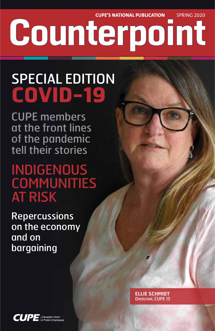**CUPE'S NATIONAL PUBLICATION** SPRING 2020 Counterpoint

## SPECIAL EDITION **COVID-19**

CUPE members at the front lines of the pandemic tell their stories

### **ELLIE SCHMIDT** Dietician, CUPE 15

**CUPE** Canadian Union

INDIGENOUS **COMMUNITIES** AT RISK

Repercussions on the economy and on

### bargaining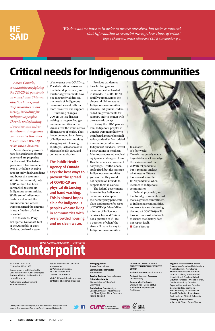*Across Canada, communities are fighting the COVID-19 pandemic on many fronts. This new situation has exposed deep inequities in our society, including for Indigenous peoples. Chronic underfunding of services and infrastructure in Indigenous communities threatens to turn the COVID-19 crisis into a disaster.* 

Across Canada, provinces have declared states of emergency and are preparing for the worst. The federal government has announced over \$107 billion in aid to support individual Canadians and boost the economy. Within that amount, only \$305 million has been earmarked to support Indigenous communities. While some Indigenous leaders welcomed the announcement, others were concerned the amount is just a fraction of what is needed.

On March 24, Perry Bellegarde, National Chief of the Assembly of First Nations, declared a state

of emergency over COVID-19. The declaration recognizes that federal, provincial, and territorial governments have not adequately addressed the needs of Indigenous communities and calls for more resources and support.

If nothing changes, COVID-19 is a disaster waiting to happen. Indigenous communities across Canada fear the worst across all measures of health. That is compounded by a history of Indigenous communities struggling with housing shortages, lack of access to adequate health care, and boil water advisories.

> Federal, provincial, and territorial governments must make a greater commitment to Indigenous communities, and work towards lessening the impact COVID-19 will have on our most vulnerable to ensure that history does not repeat itself. ■ **Dana Wesley**

**The Public Health Agency of Canada says the best ways to prevent the spread of COVID-19 are physical distancing and hand washing. This is almost impossible for Indigenous peoples who are living in communities with overcrowded housing and no clean water.**

Previous pandemics have hit Indigenous communities the hardest in Canada. In 2009, H1N1 rapidly spread across the globe and did not spare Indigenous communities in Canada. Indigenous leaders called on governments for support, only to be met with bureaucratic delays.

During the H1N1 pandemic, Indigenous peoples in Canada were more likely to be infected, require hospitalization, and suffer from critical illness compared to non-Indigenous Canadians. Several First Nations in northern Manitoba requested medical equipment and support from Health Canada and were sent body bags. Health Canada apologized, but the message Indigenous communities got was that they could not depend on Canada to support them in a crisis.

The federal government is now telling Indigenous communities to update their emergency pandemic plans and prepare for cases of COVID-19. Marc Miller, minister of Indigenous Services, has said "this is not a question of if—it's a question of when" the virus will make its way to Indigenous communities.

In a matter of a few weeks, Canada has quickly made huge strides to acknowledge the seriousness of the COVID-19 pandemic, but it remains unclear what lessons Ottawa has learned since the H1N1 pandemic, when it comes to Indigenous communities.

**2 CUPE COUNTERPOINT** SPRING 2020

*"We do what we have to in order to protect ourselves, but we're convinced that information is essential during these times of crisis." Bryan Chauveau, writer, editor and CUPE 687 member, p. 5*

### **HE SAID**

Union-printed on 50% recycled, 30% post-consumer waste, elemental chlorine-free paper, certified by the Forest Stewardship Council.





ISSN print 1920-2857 ISSN online 1920-2865

Counterpoint is published by the Canadian Union of Public Employees. Address all letters to the editor to: comm@cupe.ca

Publications Mail Agreement Number 40005741

Return undeliverable Canadian addresses to: CUPE Communications, 1375 St. Laurent Blvd. Ottawa, ON, K1G 0Z7

Visit CUPE's website at cupe.ca or contact us at cupemail@cupe.ca

**Managing Editor** Rosane Doré Lefebvre

**Communications Director** Karine Fortin

**Graphic Designer** Jocelyn Renaud

**Editorial Assistants** Manon Lajoie • Céline Carré • Vicky Allard

**Contributors** Dana Wesley • Daniel Gawthrop • Kevin Wilson • Lisa Djevahirjian • Pierre Ducasse • Ronald Boisrond

**CANADIAN UNION OF PUBLIC EMPLOYEES NATIONAL EXECUTIVE BOARD**

**National President** Mark Hancock

**National Secretary-Treasurer** Charles Fleury

**General Vice-Presidents** Sherry Hillier • Denis Bolduc • Fred Hahn • Judy Henley • Paul Faoro

#### **Regional Vice-Presidents** Ernest Green / Newfoundland & Labrador • Nan McFadgen / Nova Scotia • Brien Watson / New Brunswick • Leonard Gallant / Prince Edward

Island • Benoît Bouchard, Patrick Gloutney / Quebec • Michael Hurley, Candace Rennick / Ontario • Bryan Keith / Northern Ontario • Gord Delbridge / Manitoba • Kent Peterson / Saskatchewan • Rory Gill / Alberta • Trevor Davies, Barb Nederpel / British Columbia

**Diversity Vice-Presidents** Yolanda McClean • Debra Merrier

**CUPE'S NATIONAL PUBLICATION** SPRING 2020

### Counterpoint

### **Critical needs for Indigenous communities**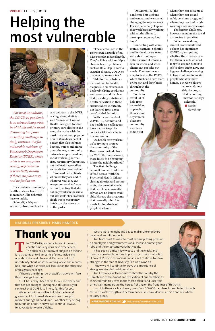### **NATIONAL PRESIDENT** MARK HANCOCK

*For most Canadians, the COVID-19 pandemic is an extraordinary crisis, in which the call for social distancing has posed unsettling challenges to daily routines. But for vulnerable residents of Vancouver's Downtown Eastside (DTES), where crisis is an every-day reality, self-isolation is potentially deadly if there's no place to go and no food to eat.* 

It's a problem community health workers, like CUPE 15 member Ellie Schmidt, have to tackle.

Schmidt, a 20-year veteran of frontline health

care delivery in the DTES, is a registered dietician with Vancouver Coastal Health. Assigned to three primary care clinics in the area, she works with the most marginalized population in Canada as part of a team that also includes doctors, nurses and nurse practitioners, community outreach support workers, social workers, pharmacists, respiratory therapists, mental health specialists and addiction counsellors.

"We work with clients wherever they are and in whatever way they can accept our services," says Schmidt, noting that she not only works in the clinic, but also visits clients at their single-room-occupancy hotels, on the streets or in the parks.

"The clients I see in the Downtown Eastside often have complex medical needs. They're living with multiple chronic health problems such as HIV, Hep C, cardiovascular disease, COPD, or diabetes, to name a few."

"Add to that substance use and mental health diagnosis, homelessness or deplorable living conditions and poverty, and it's clear that providing nutritional health education in these circumstances is certainly not learned from a textbook", added Schmidt.

With the outbreak of COVID-19, Schmidt and her health care colleagues have had to keep the contact with their clients to a minimum.

"As health care workers, we're trying to protect the community of the Downtown Eastside from us. We're the ones who are more likely to be bringing it into the neighbourhood."

The COVID-19 pandemic is one of the most<br>thaotic times any of us have experienced.<br>This crisis has put many of our jobs on the<br>It has created untold amounts of stress inside and chaotic times any of us have experienced. This crisis has put many of our jobs on the line. It has created untold amounts of stress inside and outside of the workplace. And it's created a lot of uncertainty about what the coming weeks and months hold, and what our world will look like on the other side of this great challenge.

If there is one thing I do know, it's that we will face this challenge together.

The first challenge Schmidt has had to address is food access. With the Provincial Health Officer closing all cafés and restaurants, the low-cost meals that her clients normally rely on are no longer available. Nor are the programs that normally offer free meals for hundreds of people at a time.

"On March 16, [the pandemic] hit us front and centre, and we started changing the way we work. For me personally, I spent that week basically working with all the clinics to develop emergency food bags."

Connecting with community partners, Schmidt and her health care team were able to set up an online source of information on where and when clients can get take-out meals. The result was a map to food in the DTES, which the health care team prints out and distributes throughout the

community. "With an awful lot of help from an awful lot of people, there's now a system in place for community members to find out

where they can get a meal, where they can go and safely consume drugs, and where they can find handwashing stations," she says.

The biggest challenge, however, remains the social distancing imperative.

"When we're doing clinical assessments and a client has significant COVID-19 symptoms, whether the directive is to test them or not, we need to try to get our clients to self-isolate. Right now, our biggest challenge is trying to figure out how to isolate people who don't have homes. But we've always had to work out-

side the box, so that is nothing new for us," says Schmidt. ■ **Daniel** 

 **Gawthrop**



**Thank you**

CUPE has always been there for our members, and that has not changed. Throughout this period, you can trust that CUPE is still here, fighting for you.

We joined with our allies to lobby the federal government for immediate measures to support workers during this pandemic – whether they belong to our union or not. And we will continue, always, to advocate for workers' rights.

We are working night and day to make sure employers treat workers with respect.

And from coast to coast to coast, we are putting pressure on employers and governments at all levels to protect your jobs, and the important work that you do.



It has been a difficult few weeks, and the weeks and months ahead will continue to push us all to our limits. But I know CUPE members across Canada will continue to show strength in the face of adversity, like we always do.

I know we will continue to prove the importance of strong, well-funded public services.

And I know we will continue to show the country the unmatched commitment and dedication of our members to their communities, even in the most difficult and uncertain times. Our members are the heroes fighting on the front lines of this crisis.

I want to thank each and every one of our 700,000 members for soldiering through this crisis with strength and determination. You have done our union and our whole country proud.

**MARK HANCOCK ONLINE 3** twitter.com/MarkHancockCUPE

#### PROFILE ELLIE SCHMIDT

## Helping the most vulnerable

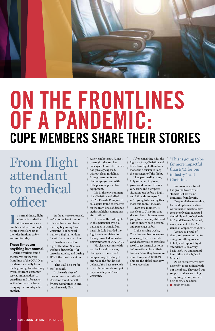

# **ON THE FRONTLINES OF A PANDEMIC: CUPE MEMBERS SHARE THEIR STORIES**

Illet a mormal times, flight attendants and other airline workers are a familiar and welcome sight, n normal times, flight attendants and other airline workers are a helping travellers get to their destinations safely and comfortably.

#### **These times are anything but normal.**

Airline workers found themselves on the very front lines of the COVID-19 pandemic, virtually from the beginning, transforming overnight from 'customer service ambassadors' to guardians and life savers, as the Coronavirus began ravaging one country after another.

"As far as we're concerned, we're on the front lines of this and have been from the very beginning," said Christina (not her real name), a flight attendant for Air Canada's main line. Christina is a veteran

flight attendant. She was working during the 9/11 terrorist attacks, and during H1N1, the most recent flu outbreak.

"This is all deja-vu for me," she said.

In the early days of the Coronavirus outbreak, Christina found herself flying several times in and out of an early North

American hot spot. Almost overnight, she and her colleagues found themselves dangerously exposed, without clear guidelines from governments and their employer, and with little personal protective equipment.

It is in this environment that Christina and all of her Air Canada Component colleagues found themselves on the front lines of defence against a highly contagious viral outbreak.

> "We are so proud of them, and so committed to doing everything we can to help and support flight attendants … on a very basic level, we understand how difficult this is," said Mitchell. "As an executive, we have never felt more unified with our members. They need our support and we are doing everything in our power to help them," she added. ■ **Kevin Wilson**

On one of the last flights in this particular cycle, a passenger in transit from hard-hit Italy boarded the flight and complained of feeling unwell, demonstrating symptoms of COVID-19. "He clears customs with no checks and balances, then gets to the aircraft complaining of feeling ill and we're the first line of defence. You have to switch to a different mode and put on your safety hat," said Christina.

After consulting with the flight captain, Christina and her fellow flight attendants made the decision to keep the passenger off the flight.

"The paramedics came, fully suited up in gloves, gowns and masks. It was a very scary and disruptive situation just before a flight, and I thought to myself we're going to be seeing this more and more," she said.

From this moment, it was clear to Christina that she and her colleagues were going to wear many different hats to ensure both personal and passenger safety.

In the ensuing weeks, Christina and her colleagues were caught up in a whirlwind of activities, as travellers

raced to get themselves home before nations closed their borders. Now, they face more uncertainty as COVID-19 plunges the global economy into a recession.

**4 CUPE COUNTERPOINT** SPRING 2020

### "This is going to be far more impactful than 9/11 for our industry," said Christina.

Commercial air travel has ground to a virtual standstill. There is no immunity from layoffs.

"Despite all the uncertainty, fear and upheaval, airline workers like Christina have consistently demonstrated their skills and professionalism", said Theresa Mitchell, vice-president of the Air Canada Component of CUPE.

From flight attendant to medical officer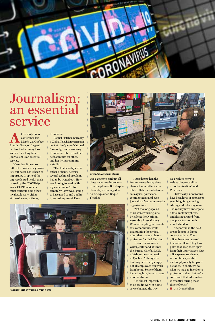this daily press<br>
conference last<br>
March 23, Queb<br>
Premier François Legault conference last March 23, Quebec declared what many have known for a long time – journalism is an essential service.

Never has it been so difficult to work as a journalist, but never has it been so important. In spite of the unprecedented health crisis caused by the COVID-19 virus, CUPE members must continue doing their invaluable work either at the office or, at times,

#### from home.

Raquel Fletcher, normally a Global Television correspondent at the Quebec National Assembly, is now working from home. She turned her bedroom into an office, and her living room into a studio.

"The first few days were rather difficult, because several technical problems had to be ironed out. How was I going to work with my cameraman/editor remotely? How was I going to have good sound quality to record my voice? How



was I going to conduct all these necessary interviews over the phone? But despite the odds, we managed to do it," explained Raquel Fletcher.

According to her, the key to success during these chaotic times is the incredible collaboration between colleagues, politicians, commentators and even journalists from other media organizations.

"Not too long ago, all of us were working side by side at the National Assembly Press Gallery. We're attempting to recreate this camaraderie, while maintaining the critical mind that is a must in our profession," added Fletcher. Bryan Chauveau is a writer/editor and at times the Bureau Chief at LCN, a 24-hour news network in Quebec. Although his building is virtually empty, not all employees can work from home. Some of them, including him, have to come into the studio. "It's almost impossible to do studio work at home, so we changed the way

we produce news to reduce the probability of contamination," said Chauveau.

Historically, newsrooms have been hives of employees searching for, gathering, editing and releasing news. Today, they have undergone a total metamorphosis, and flitting around from one place to another is now forbidden.

 "Reporters in the field are no longer in direct contact with us. Their offices have been moved to another floor. They have poles that keep them apart from their interviewees. Our office spaces are cleaned several times per shift, and we physically keep our distance. In short, we do what we have to in order to protect ourselves, but we're convinced that information is essential during these times of crisis."



■ **Lisa Djevahirjian**



### Journalism: an essential service

Raquel Fletcher working from home

#### Bryan Chauveau in studio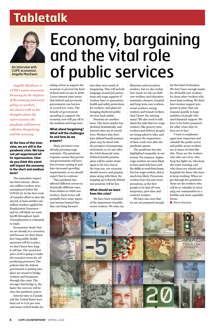*Angella MacEwen is CUPE's senior economist. Focusing on the impacts of the economy and social policy on workers, she shares with us her thoughts about the repercussions the pandemic will have on collective bargaining and the economy.*

**At the time of this interview, we are still in the pandemic crisis. We have not yet experienced all its repercussions. How do you think this event will impact the economy in the short and medium term?**

The immediate impact has been intense. About one million workers were unemployed before the COVID-19. In the first week of Canada's effort to slow the spread, at least another one million workers applied for Employment Insurance – and we will likely see more layoffs throughout April. Unemployment is estimated to triple.

Economists think that we are already in a recession, and because we don't know how long public health measures will be in place, we don't know how long it will last. The record low price of oil is going to make the recession worse for oilproducing provinces. The policies that the federal government is putting into place are meant to bridge workers and businesses through this crisis. The stronger that bridge is, the faster the recovery will be once the pandemic passes. Interest rates in Canada and the United States have been cut to 0.25 per cent, and many central banks are

taking action to support the economy to prevent the kind of fiscal crisis we saw in 2008. Lower interest rates mean that federal and provincial governments can borrow at record low costs. The benefit of government spending to support the economy now will pay off in the medium and long term.

#### **What about bargaining? What will the challenges be and how do we prepare?**

Many provinces were already pursuing wage restraints. The pandemic response means that provincial governments will have less revenue coming in and have increased spending requirements, so we should expect that to continue.

This pandemic has affected different sectors in drastically different ways, from airlines to child care workers. Each sector will probably have some important lessons learned that they can bring forward

into their next round of bargaining. This will include language around job protections and wage supports if workers have to quarantine; health and safety protections for workers; and plans for bringing shuttered public services back online.

## Economy, bargaining and the vital role **An interview with CUPE economist, Of public services and an interview with CUPE economist, Of public services**

Pensions are another issue. The stock market has declined dramatically, and interest rates are at record lows. Workers that don't have defined benefit pension plans may be faced with the prospect of postponing retirement, as we saw after the 2008 financial crisis. Defined benefit pension plans will be under strain again to be sure, but in the long run, our economy should recover, and pension plans along with them. So, stepping up to fiercely defend our pensions will be key.

#### **What should we learn from this crisis?**

We have been reminded of the importance of public sector workers. We miss our librarians and recreation workers, but we also realize how much we rely on child care workers and education assistants, cleaners, hospital and long-term care workers, social workers, energy workers, and transit workers. And I know I'm missing many! We also need to talk about the risks that low-wage workers (like grocery store workers and delivery people) are being asked to take, and recognize the importance of their work even after the pandemic passes.

The pandemic has also highlighted inequality in our society. For instance, higher wage workers are more likely to have paid sick leave and the ability to work from home. For low-wage workers, that is much less likely. Precarious workers have become more precarious, as the first people to be laid off were temporary, part-time and contract workers.

We have also seen that we are not prepared enough for this kind of situation. We don't have enough masks for all health care workers, let alone other workers who must keep working. We don't have income support programs in place that can respond quickly to large numbers of people who need financial support. We have to be better prepared for other crises that we have yet to face.

I want to emphasize again how important and valuable the public sector and public sector workers are in times of crisis like this. These are the workers who take care of us, who keep the lights on, who keep the water running, and who clean our schools and hospitals for those who have to keep working. When we get through the pandemic, these are the workers who will be so valuable in returning our communities to a healthy and more equitable future.

■ **Pierre Ducasse**



### **Tabletalk**



CUPE economist, Angella MacEwen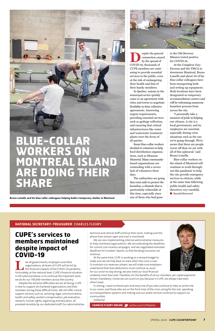### **NATIONAL SECRETARY-TREASURER** CHARLES FLEURY

technical and clerical staff continue their work, making sure the phone lines remain open and mail is monitored.

We are also implementing internal administrative measures



to help chartered organizations. We are extending the deadlines for current cost-shared campaigns, and we negotiated extended deadlines for trustees' reports, so that bonding insurance can continue.

At the same time, CUPE is working on a revised budget to make sure we are fully back on track when this crisis is over.

To maintain our revenues stream, we will make sure employers understand that dues deductions must continue as usual. For our union to stay strong, we also need our local financial

solidarity more than ever. Therefore, for the benefits of all our members, per capita payments remain mandatory. I know we can count on you because in CUPE, we always have each other's back.

Ike all governments, employers and other<br>organisations, all levels of CUPE will be hit<br>the financial impacts of the COVID-19 par<br>Fortunately at the national level CUPE's financial s organisations, all levels of CUPE will be hit by the financial impacts of the COVID-19 pandemic. Fortunately, at the national level, CUPE's financial situation is still solid and allows us to continue the important work we do for our 700,000 members across the country.

> In closing, I want to thank each and every one of you who continue to take an active role in our union, and those who are on the front lines of the crisis caring for the sick, operating our transportation systems and making sure our public services continue to support our communities.

espite the general<br>by the spread of<br>COVID-10, thousands of commotion caused by the spread of COVID-19, thousands of CUPE members are continuing to provide essential services to the public, even at the risk of endangering their health and that of their family members.

Solidarity!

**CHARLES FLEURY ONLINE** twitter.com/CUPENatSec

### **CUPE's services to members maintained despite impact of COVID-19**

Despite the extreme difficulties we are all facing, CUPE is here to support all chartered organizations and their members during these difficult times. We still offer critical support services such as: servicing, legal, communications, health and safety, worker's compensation, job evaluation, research, human rights, organizing and education, all provided remotely by our dedicated staff. Our administrative,

In Quebec, unions in the municipal sector quickly came to an agreement with cities and towns to negotiate flexibility in their collective agreements. Answering urgent requirements, providing essential services such as garbage collection, and ensuring that critical infrastructures like water and wastewater treatment plants were the focus of all parties.

Some blue-collar workers decided to volunteer to help food distribution organizations, such as Moisson Montréal. Many communitybased organizations are contending with a severe lack of volunteers these days.

The authorities are going that extra mile to protect the homeless, a clientele that is particularly vulnerable at this time, especially since one of them who had gone

to the Old Brewery Mission tested positive for COVID-19.

At the Complexe Guy-Favreau and the YMCA in downtown Montreal, Bruno Loiselle and about 20 of his blue-collar colleagues have been transporting beds and setting up equipment. Both locations have been designated as temporary accommodation centres and will be welcoming numerous homeless persons from across the city.

"I personally take a measure of pride in helping our citizens. A city is a local government, and its employees are essential, especially during crisis situations such as the one we're going through. We're aware that there are people worse off than we are with all of this upheaval," said Bruno Loiselle.

Blue-collar workers on the island of Montreal will continue to work throughout this pandemic to help the city provide emergency services to citizens, while at the same time following public health and safety directives very carefully.

■ **Ronald Boisrond** 



### **BLUE-COLLAR WORKERS ON MONTREAL ISLAND ARE DOING THEIR SHARE**

Bruno Loiselle and his blue-collar colleagues helping build a temporary shelter in Montreal